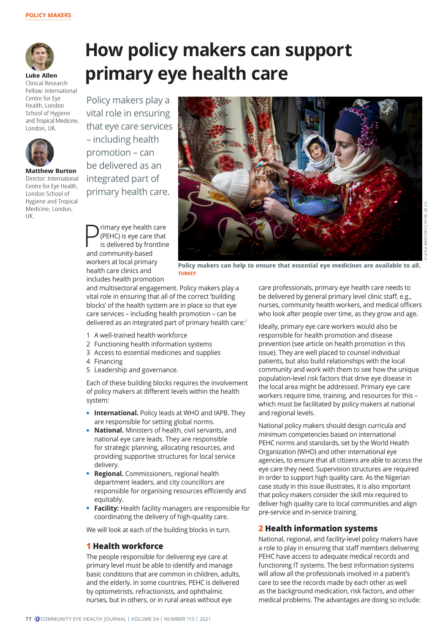

**Luke Allen** Clinical Research Fellow: International Centre for Eye Health, London School of Hygiene and Tropical Medicine, London, UK.



**Matthew Burton** Director: International Centre for Eye Health, London School of Hygiene and Tropical Medicine, London, UK.

# **How policy makers can support primary eye health care**

Policy makers play a vital role in ensuring that eye care services – including health promotion – can be delivered as an integrated part of primary health care.



**P** (PEHC) is eye care that<br>is delivered by frontline<br>and community based (PEHC) is eye care that and community-based workers at local primary health care clinics and includes health promotion

**Policy makers can help to ensure that essential eye medicines are available to all. TURKEY**

and multisectoral engagement. Policy makers play a vital role in ensuring that all of the correct 'building blocks' of the health system are in place so that eye care services – including health promotion – can be delivered as an integrated part of primary health care:<sup>1</sup>

- 1 A well-trained health workforce
- 2 Functioning health information systems
- 3 Access to essential medicines and supplies
- 4 Financing
- 5 Leadership and governance.

Each of these building blocks requires the involvement of policy makers at different levels within the health system:

- **• International.** Policy leads at WHO and IAPB. They are responsible for setting global norms.
- **• National.** Ministers of health, civil servants, and national eye care leads. They are responsible for strategic planning, allocating resources, and providing supportive structures for local service delivery.
- **• Regional.** Commissioners, regional health department leaders, and city councillors are responsible for organising resources efficiently and equitably.
- **• Facility:** Health facility managers are responsible for coordinating the delivery of high-quality care.

We will look at each of the building blocks in turn.

#### **1 Health workforce**

The people responsible for delivering eye care at primary level must be able to identify and manage basic conditions that are common in children, adults, and the elderly. In some countries, PEHC is delivered by optometrists, refractionists, and ophthalmic nurses, but in others, or in rural areas without eye

care professionals, primary eye health care needs to be delivered by general primary level clinic staff, e.g., nurses, community health workers, and medical officers who look after people over time, as they grow and age.

Ideally, primary eye care workers would also be responsible for health promotion and disease prevention (see article on health promotion in this issue). They are well placed to counsel individual patients, but also build relationships with the local community and work with them to see how the unique population-level risk factors that drive eye disease in the local area might be addressed. Primary eye care workers require time, training, and resources for this – which must be facilitated by policy makers at national and regional levels.

National policy makers should design curricula and minimum competencies based on international PEHC norms and standards, set by the World Health Organization (WHO) and other international eye agencies, to ensure that all citizens are able to access the eye care they need. Supervision structures are required in order to support high quality care. As the Nigerian case study in this issue illustrates, it is also important that policy makers consider the skill mix required to deliver high quality care to local communities and align pre-service and in-service training.

#### **2 Health information systems**

National, regional, and facility-level policy makers have a role to play in ensuring that staff members delivering PEHC have access to adequate medical records and functioning IT systems. The best information systems will allow all the professionals involved in a patient's care to see the records made by each other as well as the background medication, risk factors, and other medical problems. The advantages are doing so include: